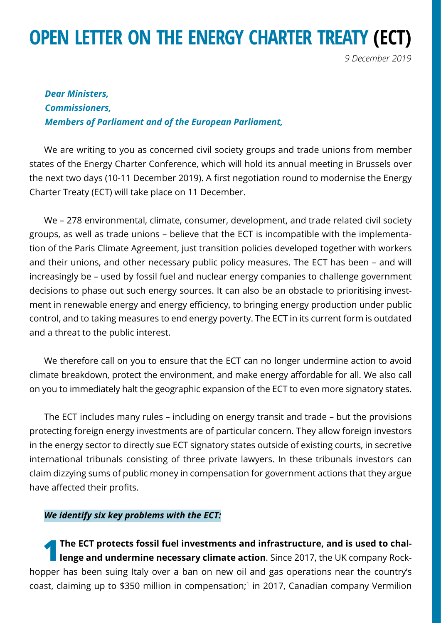# **OPEN LETTER ON THE ENERGY CHARTER TREATY (ECT)**

*9 December 2019*

# *Dear Ministers, Commissioners, Members of Parliament and of the European Parliament,*

We are writing to you as concerned civil society groups and trade unions from member states of the Energy Charter Conference, which will hold its annual meeting in Brussels over the next two days (10-11 December 2019). A first negotiation round to modernise the Energy Charter Treaty (ECT) will take place on 11 December.

We – 278 environmental, climate, consumer, development, and trade related civil society groups, as well as trade unions – believe that the ECT is incompatible with the implementation of the Paris Climate Agreement, just transition policies developed together with workers and their unions, and other necessary public policy measures. The ECT has been – and will increasingly be – used by fossil fuel and nuclear energy companies to challenge government decisions to phase out such energy sources. It can also be an obstacle to prioritising investment in renewable energy and energy efficiency, to bringing energy production under public control, and to taking measures to end energy poverty. The ECT in its current form is outdated and a threat to the public interest.

We therefore call on you to ensure that the ECT can no longer undermine action to avoid climate breakdown, protect the environment, and make energy affordable for all. We also call on you to immediately halt the geographic expansion of the ECT to even more signatory states.

The ECT includes many rules – including on energy transit and trade – but the provisions protecting foreign energy investments are of particular concern. They allow foreign investors in the energy sector to directly sue ECT signatory states outside of existing courts, in secretive international tribunals consisting of three private lawyers. In these tribunals investors can claim dizzying sums of public money in compensation for government actions that they argue have affected their profits.

## *We identify six key problems with the ECT:*

**1** The ECT protects fossil fuel investments and infrastructure, and is used to challenge and undermine necessary climate action. Since 2017, the UK company Rockhopper has been suing Italy over a ban on new oil and gas operations near the country's coast, claiming up to \$350 million in compensation;<sup>1</sup> in 2017, Canadian company Vermilion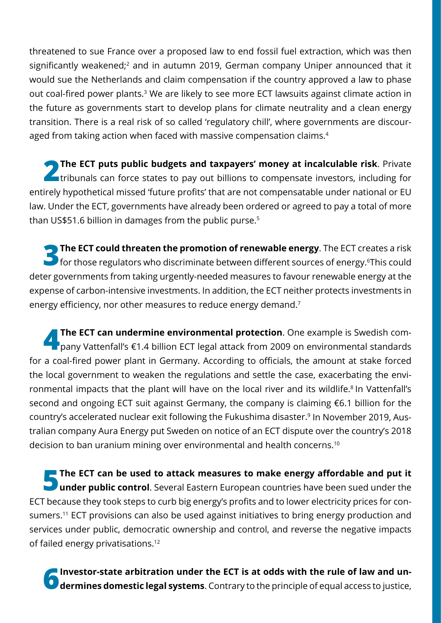threatened to sue France over a proposed law to end fossil fuel extraction, which was then significantly weakened;<sup>2</sup> and in autumn 2019, German company Uniper announced that it would sue the Netherlands and claim compensation if the country approved a law to phase out coal-fired power plants.<sup>3</sup> We are likely to see more ECT lawsuits against climate action in the future as governments start to develop plans for climate neutrality and a clean energy transition. There is a real risk of so called 'regulatory chill', where governments are discouraged from taking action when faced with massive compensation claims.<sup>4</sup>

**2 The ECT puts public budgets and taxpayers' money at incalculable risk**. Private tribunals can force states to pay out billions to compensate investors, including for entirely hypothetical missed 'future profits' that are not compensatable under national or EU law. Under the ECT, governments have already been ordered or agreed to pay a total of more than US\$51.6 billion in damages from the public purse.5

**3 The ECT could threaten the promotion of renewable energy**. The ECT creates a risk for those regulators who discriminate between different sources of energy.<sup>6</sup>This could deter governments from taking urgently-needed measures to favour renewable energy at the expense of carbon-intensive investments. In addition, the ECT neither protects investments in energy efficiency, nor other measures to reduce energy demand.<sup>7</sup>

**4 The ECT can undermine environmental protection**. One example is Swedish com-<br>pany Vattenfall's €1.4 billion ECT legal attack from 2009 on environmental standards for a coal-fired power plant in Germany. According to officials, the amount at stake forced the local government to weaken the regulations and settle the case, exacerbating the environmental impacts that the plant will have on the local river and its wildlife.<sup>8</sup> In Vattenfall's second and ongoing ECT suit against Germany, the company is claiming €6.1 billion for the country's accelerated nuclear exit following the Fukushima disaster.9 In November 2019, Australian company Aura Energy put Sweden on notice of an ECT dispute over the country's 2018 decision to ban uranium mining over environmental and health concerns.<sup>10</sup>

**5 The ECT can be used to attack measures to make energy affordable and put it**<br> **under public control**. Several Eastern European countries have been sued under the ECT because they took steps to curb big energy's profts and to lower electricity prices for consumers.<sup>11</sup> ECT provisions can also be used against initiatives to bring energy production and services under public, democratic ownership and control, and reverse the negative impacts of failed energy privatisations.12

**6 Investor-state arbitration under the ECT is at odds with the rule of law and un-dermines domestic legal systems**. Contrary to the principle of equal access to justice,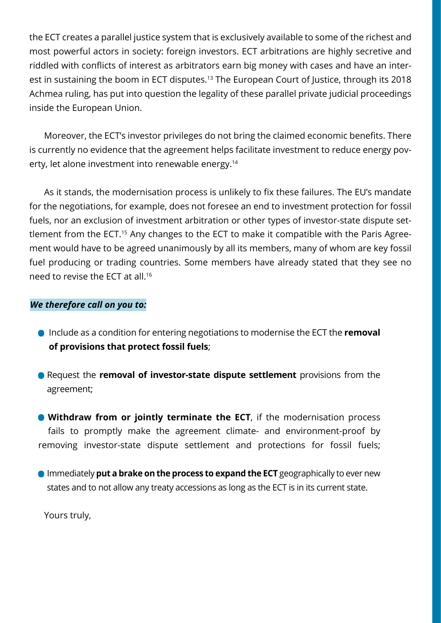the ECT creates a parallel justice system that is exclusively available to some of the richest and most powerful actors in society: foreign investors. ECT arbitrations are highly secretive and riddled with conficts of interest as arbitrators earn big money with cases and have an interest in sustaining the boom in ECT disputes.<sup>13</sup> The European Court of Justice, through its 2018 Achmea ruling, has put into question the legality of these parallel private judicial proceedings inside the European Union.

Moreover, the ECT's investor privileges do not bring the claimed economic benefts. There is currently no evidence that the agreement helps facilitate investment to reduce energy poverty, let alone investment into renewable energy.14

As it stands, the modernisation process is unlikely to fix these failures. The EU's mandate for the negotiations, for example, does not foresee an end to investment protection for fossil fuels, nor an exclusion of investment arbitration or other types of investor-state dispute settlement from the ECT.15 Any changes to the ECT to make it compatible with the Paris Agreement would have to be agreed unanimously by all its members, many of whom are key fossil fuel producing or trading countries. Some members have already stated that they see no need to revise the ECT at all.16

## *We therefore call on you to:*

- **•** Include as a condition for entering negotiations to modernise the ECT the **removal of provisions that protect fossil fuels**;
- **•** Request the **removal of investor-state dispute settlement** provisions from the agreement;

**• Withdraw from or jointly terminate the ECT**, if the modernisation process fails to promptly make the agreement climate- and environment-proof by removing investor-state dispute settlement and protections for fossil fuels;

**•** Immediately **put a brake on the process to expand the ECT** geographically to ever new states and to not allow any treaty accessions as long as the ECT is in its current state.

Yours truly,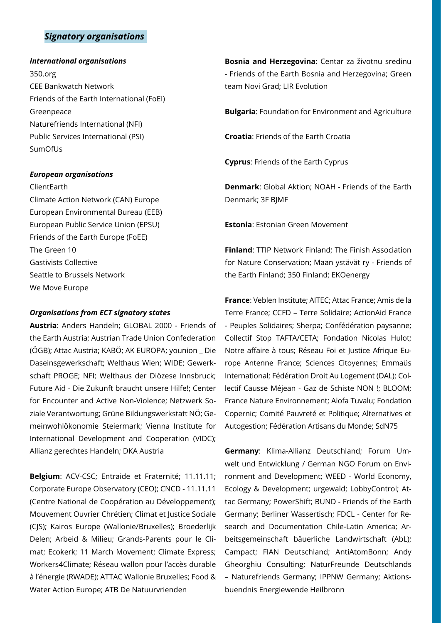## *Signatory organisations*

#### *International organisations*

350.org CEE Bankwatch Network Friends of the Earth International (FoEI) Greenpeace Naturefriends International (NFI) Public Services International (PSI) SumOfUs

#### *European organisations*

ClientEarth Climate Action Network (CAN) Europe European Environmental Bureau (EEB) European Public Service Union (EPSU) Friends of the Earth Europe (FoEE) The Green 10 Gastivists Collective Seattle to Brussels Network We Move Europe

#### *Organisations from ECT signatory states*

**Austria**: Anders Handeln; GLOBAL 2000 - Friends of the Earth Austria; Austrian Trade Union Confederation (ÖGB); Attac Austria; KABÖ; AK EUROPA; younion \_ Die Daseinsgewerkschaft; Welthaus Wien; WIDE; Gewerkschaft PROGE; NFI; Welthaus der Diözese Innsbruck; Future Aid - Die Zukunft braucht unsere Hilfe!; Center for Encounter and Active Non-Violence; Netzwerk Soziale Verantwortung; Grüne Bildungswerkstatt NÖ; Gemeinwohlökonomie Steiermark; Vienna Institute for International Development and Cooperation (VIDC); Allianz gerechtes Handeln; DKA Austria

**Belgium**: ACV-CSC; Entraide et Fraternité; 11.11.11; Corporate Europe Observatory (CEO); CNCD - 11.11.11 (Centre National de Coopération au Développement); Mouvement Ouvrier Chrétien; Climat et Justice Sociale (CJS); Kairos Europe (Wallonie/Bruxelles); Broederlijk Delen; Arbeid & Milieu; Grands-Parents pour le Climat; Ecokerk; 11 March Movement; Climate Express; Workers4Climate; Réseau wallon pour l'accès durable à l'énergie (RWADE); ATTAC Wallonie Bruxelles; Food & Water Action Europe; ATB De Natuurvrienden

**Bosnia and Herzegovina**: Centar za životnu sredinu - Friends of the Earth Bosnia and Herzegovina; Green team Novi Grad; LIR Evolution

**Bulgaria**: Foundation for Environment and Agriculture

**Croatia**: Friends of the Earth Croatia

**Cyprus**: Friends of the Earth Cyprus

**Denmark**: Global Aktion; NOAH - Friends of the Earth Denmark; 3F BJMF

**Estonia**: Estonian Green Movement

**Finland**: TTIP Network Finland; The Finish Association for Nature Conservation; Maan ystävät ry - Friends of the Earth Finland; 350 Finland; EKOenergy

**France**: Veblen Institute; AITEC; Attac France; Amis de la Terre France; CCFD – Terre Solidaire; ActionAid France - Peuples Solidaires; Sherpa; Confédération paysanne; Collectif Stop TAFTA/CETA; Fondation Nicolas Hulot; Notre affaire à tous; Réseau Foi et Justice Afrique Europe Antenne France; Sciences Citoyennes; Emmaüs International; Fédération Droit Au Logement (DAL); Collectif Causse Méjean - Gaz de Schiste NON !; BLOOM; France Nature Environnement; Alofa Tuvalu; Fondation Copernic; Comité Pauvreté et Politique; Alternatives et Autogestion; Fédération Artisans du Monde; SdN75

**Germany**: Klima-Allianz Deutschland; Forum Umwelt und Entwicklung / German NGO Forum on Environment and Development; WEED - World Economy, Ecology & Development; urgewald; LobbyControl; Attac Germany; PowerShift; BUND - Friends of the Earth Germany; Berliner Wassertisch; FDCL - Center for Research and Documentation Chile-Latin America; Arbeitsgemeinschaft bäuerliche Landwirtschaft (AbL); Campact; FIAN Deutschland; AntiAtomBonn; Andy Gheorghiu Consulting; NaturFreunde Deutschlands – Naturefriends Germany; IPPNW Germany; Aktionsbuendnis Energiewende Heilbronn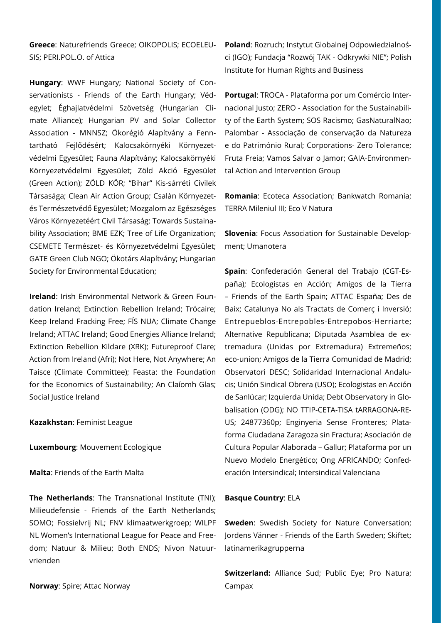**Greece**: Naturefriends Greece; OIKOPOLIS; ECOELEU-**Poland**: Rozruch; Instytut Globalnej Odpowiedzialnoś-SIS; PERI.POL.O. of Attica

**Hungary**: WWF Hungary; National Society of Conservationists - Friends of the Earth Hungary; Védegylet; Éghajlatvédelmi Szövetség (Hungarian Climate Alliance); Hungarian PV and Solar Collector Association - MNNSZ; Ökorégió Alapítvány a Fenntartható Fejlődésért; Kalocsakörnyéki Környezetvédelmi Egyesület; Fauna Alapítvány; Kalocsakörnyéki Környezetvédelmi Egyesület; Zöld Akció Egyesület (Green Action); ZÖLD KÖR; "Bihar" Kis-sárréti Civilek Társasága; Clean Air Action Group; Csalàn Környezetés Természetvédő Egyesület; Mozgalom az Egészséges Város Környezetéért Civil Társaság; Towards Sustainability Association; BME EZK; Tree of Life Organization; CSEMETE Természet- és Környezetvédelmi Egyesület; GATE Green Club NGO; Ökotárs Alapítvány; Hungarian Society for Environmental Education;

**Ireland**: Irish Environmental Network & Green Foundation Ireland; Extinction Rebellion Ireland; Trócaire; Keep Ireland Fracking Free; FÍS NUA; Climate Change Ireland; ATTAC Ireland; Good Energies Alliance Ireland; Extinction Rebellion Kildare (XRK); Futureproof Clare; Action from Ireland (Afri); Not Here, Not Anywhere; An Taisce (Climate Committee); Feasta: the Foundation for the Economics of Sustainability; An Claíomh Glas; Social Justice Ireland

**Kazakhstan**: Feminist League

**Luxembourg**: Mouvement Ecologique

**Malta**: Friends of the Earth Malta

**The Netherlands**: The Transnational Institute (TNI); Milieudefensie - Friends of the Earth Netherlands; SOMO; Fossielvrij NL; FNV klimaatwerkgroep; WILPF NL Women's International League for Peace and Freedom; Natuur & Milieu; Both ENDS; Nivon Natuurvrienden

**Norway**: Spire; Attac Norway

ci (IGO); Fundacja "Rozwój TAK - Odkrywki NIE"; Polish Institute for Human Rights and Business

**Portugal**: TROCA - Plataforma por um Comércio Internacional Justo; ZERO - Association for the Sustainability of the Earth System; SOS Racismo; GasNaturalNao; Palombar - Associação de conservação da Natureza e do Património Rural; Corporations- Zero Tolerance; Fruta Freia; Vamos Salvar o Jamor; GAIA-Environmental Action and Intervention Group

**Romania**: Ecoteca Association; Bankwatch Romania; TERRA Mileniul III; Eco V Natura

**Slovenia**: Focus Association for Sustainable Development; Umanotera

**Spain**: Confederación General del Trabajo (CGT-España); Ecologistas en Acción; Amigos de la Tierra – Friends of the Earth Spain; ATTAC España; Des de Baix; Catalunya No als Tractats de Comerç i Inversió; Entrepueblos-Entrepobles-Entrepobos-Herriarte; Alternative Republicana; Diputada Asamblea de extremadura (Unidas por Extremadura) Extremeños; eco-union; Amigos de la Tierra Comunidad de Madrid; Observatori DESC; Solidaridad Internacional Andalucis; Unión Sindical Obrera (USO); Ecologistas en Acción de Sanlúcar; Izquierda Unida; Debt Observatory in Globalisation (ODG); NO TTIP-CETA-TISA tARRAGONA-RE-US; 24877360p; Enginyeria Sense Fronteres; Plataforma Ciudadana Zaragoza sin Fractura; Asociación de Cultura Popular Alaborada – Gallur; Plataforma por un Nuevo Modelo Energético; Ong AFRICANDO; Confederación Intersindical; Intersindical Valenciana

#### **Basque Country**: ELA

**Sweden**: Swedish Society for Nature Conversation; Jordens Vänner - Friends of the Earth Sweden; Skiftet; latinamerikagrupperna

**Switzerland:** Alliance Sud; Public Eye; Pro Natura; Campax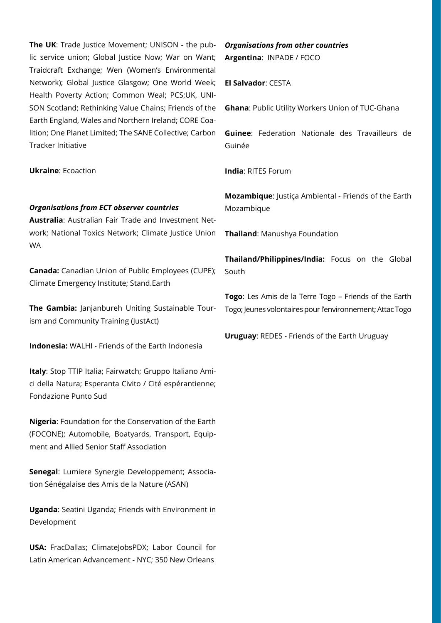**The UK:** Trade Justice Movement; UNISON - the public service union; Global Justice Now; War on Want; Traidcraft Exchange; Wen (Women's Environmental Network); Global Justice Glasgow; One World Week; Health Poverty Action; Common Weal; PCS;UK, UNI-SON Scotland; Rethinking Value Chains; Friends of the Earth England, Wales and Northern Ireland; CORE Coalition; One Planet Limited; The SANE Collective; Carbon Tracker Initiative

**Ukraine**: Ecoaction

#### *Organisations from ECT observer countries*

**Australia**: Australian Fair Trade and Investment Network; National Toxics Network; Climate Justice Union WA

**Canada:** Canadian Union of Public Employees (CUPE); Climate Emergency Institute; Stand.Earth

**The Gambia:** Janjanbureh Uniting Sustainable Tourism and Community Training (JustAct)

**Indonesia:** WALHI - Friends of the Earth Indonesia

**Italy**: Stop TTIP Italia; Fairwatch; Gruppo Italiano Amici della Natura; Esperanta Civito / Cité espérantienne; Fondazione Punto Sud

**Nigeria**: Foundation for the Conservation of the Earth (FOCONE); Automobile, Boatyards, Transport, Equipment and Allied Senior Staff Association

**Senegal**: Lumiere Synergie Developpement; Association Sénégalaise des Amis de la Nature (ASAN)

**Uganda**: Seatini Uganda; Friends with Environment in Development

**USA:** FracDallas; ClimateJobsPDX; Labor Council for Latin American Advancement - NYC; 350 New Orleans

## *Organisations from other countries* **Argentina**: INPADE / FOCO

**El Salvador**: CESTA

**Ghana**: Public Utility Workers Union of TUC-Ghana

**Guinee**: Federation Nationale des Travailleurs de Guinée

**India**: RITES Forum

**Mozambique**: Justiça Ambiental - Friends of the Earth Mozambique

**Thailand**: Manushya Foundation

**Thailand/Philippines/India:** Focus on the Global South

**Togo**: Les Amis de la Terre Togo – Friends of the Earth Togo; Jeunes volontaires pour l'environnement; Attac Togo

**Uruguay**: REDES - Friends of the Earth Uruguay